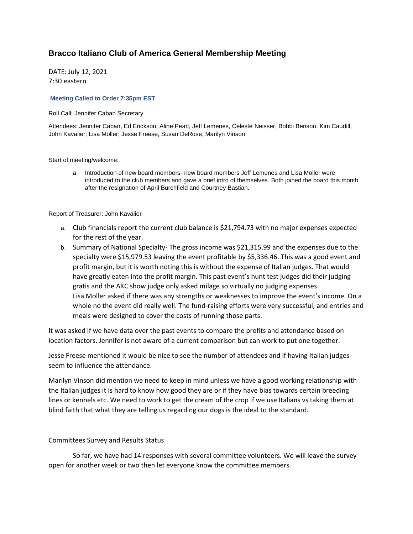# **Bracco Italiano Club of America General Membership Meeting**

DATE: July 12, 2021 7:30 eastern

#### **Meeting Called to Order 7:35pm EST**

Roll Call: Jennifer Caban Secretary

Attendees: Jennifer Caban, Ed Erickson, Aline Pearl, Jeff Lemenes, Celeste Neisser, Bobbi Benson, Kim Caudill, John Kavalier, Lisa Moller, Jesse Freese, Susan DeRose, Marilyn Vinson

Start of meeting/welcome:

a. Introduction of new board members- new board members Jeff Lemenes and Lisa Moller were introduced to the club members and gave a brief intro of themselves. Both joined the board this month after the resignation of April Burchfield and Courtney Bastian.

#### Report of Treasurer: John Kavalier

- a. Club financials report the current club balance is \$21,794.73 with no major expenses expected for the rest of the year.
- b. Summary of National Specialty- The gross income was \$21,315.99 and the expenses due to the specialty were \$15,979.53 leaving the event profitable by \$5,336.46. This was a good event and profit margin, but it is worth noting this is without the expense of Italian judges. That would have greatly eaten into the profit margin. This past event's hunt test judges did their judging gratis and the AKC show judge only asked milage so virtually no judging expenses. Lisa Moller asked if there was any strengths or weaknesses to improve the event's income. On a whole no the event did really well. The fund-raising efforts were very successful, and entries and meals were designed to cover the costs of running those parts.

It was asked if we have data over the past events to compare the profits and attendance based on location factors. Jennifer is not aware of a current comparison but can work to put one together.

Jesse Freese mentioned it would be nice to see the number of attendees and if having Italian judges seem to influence the attendance.

Marilyn Vinson did mention we need to keep in mind unless we have a good working relationship with the Italian judges it is hard to know how good they are or if they have bias towards certain breeding lines or kennels etc. We need to work to get the cream of the crop if we use Italians vs taking them at blind faith that what they are telling us regarding our dogs is the ideal to the standard.

### Committees Survey and Results Status

So far, we have had 14 responses with several committee volunteers. We will leave the survey open for another week or two then let everyone know the committee members.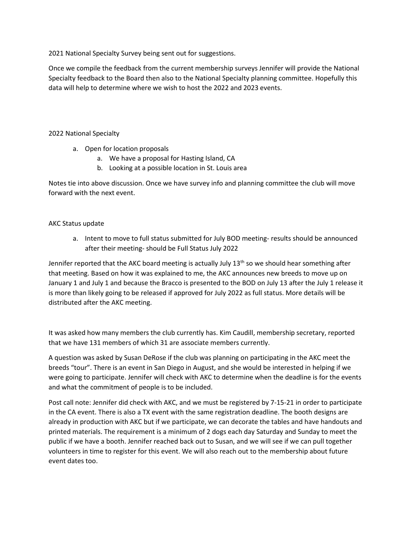2021 National Specialty Survey being sent out for suggestions.

Once we compile the feedback from the current membership surveys Jennifer will provide the National Specialty feedback to the Board then also to the National Specialty planning committee. Hopefully this data will help to determine where we wish to host the 2022 and 2023 events.

## 2022 National Specialty

- a. Open for location proposals
	- a. We have a proposal for Hasting Island, CA
	- b. Looking at a possible location in St. Louis area

Notes tie into above discussion. Once we have survey info and planning committee the club will move forward with the next event.

## AKC Status update

a. Intent to move to full status submitted for July BOD meeting- results should be announced after their meeting- should be Full Status July 2022

Jennifer reported that the AKC board meeting is actually July  $13<sup>th</sup>$  so we should hear something after that meeting. Based on how it was explained to me, the AKC announces new breeds to move up on January 1 and July 1 and because the Bracco is presented to the BOD on July 13 after the July 1 release it is more than likely going to be released if approved for July 2022 as full status. More details will be distributed after the AKC meeting.

It was asked how many members the club currently has. Kim Caudill, membership secretary, reported that we have 131 members of which 31 are associate members currently.

A question was asked by Susan DeRose if the club was planning on participating in the AKC meet the breeds "tour". There is an event in San Diego in August, and she would be interested in helping if we were going to participate. Jennifer will check with AKC to determine when the deadline is for the events and what the commitment of people is to be included.

Post call note: Jennifer did check with AKC, and we must be registered by 7-15-21 in order to participate in the CA event. There is also a TX event with the same registration deadline. The booth designs are already in production with AKC but if we participate, we can decorate the tables and have handouts and printed materials. The requirement is a minimum of 2 dogs each day Saturday and Sunday to meet the public if we have a booth. Jennifer reached back out to Susan, and we will see if we can pull together volunteers in time to register for this event. We will also reach out to the membership about future event dates too.